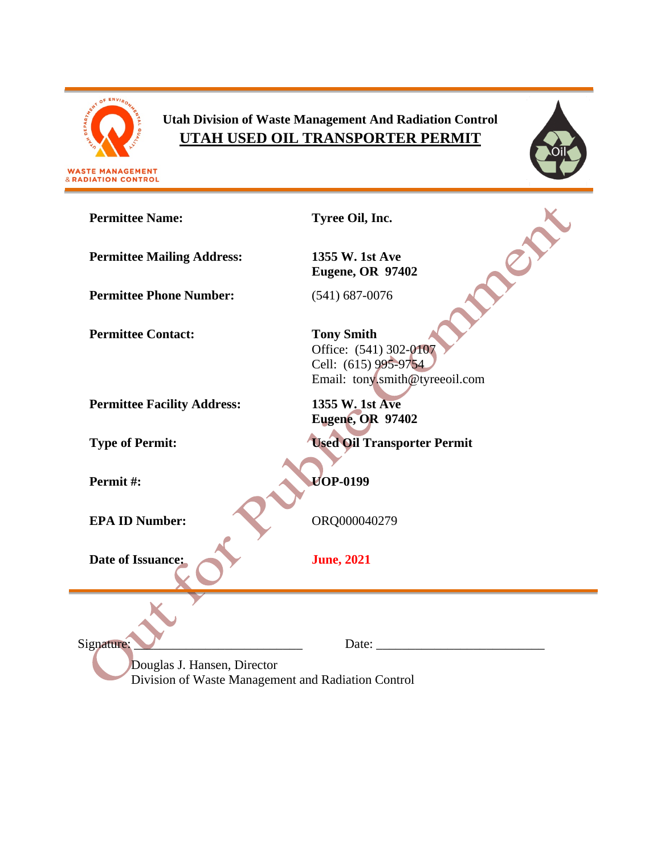

& RADIATION CONTROL

# **Utah Division of Waste Management And Radiation Control UTAH USED OIL TRANSPORTER PERMIT**



**Permittee Name: Tyree Oil, Inc.** CITY **Permittee Mailing Address: 1355 W. 1st Ave Eugene, OR 97402 Permittee Phone Number:** (541) 687-0076 **Permittee Contact: Tony Smith** Office: (541) 302-0107 Cell: (615) 995-9754 Email: tony.smith@tyreeoil.com **Permittee Facility Address: 1355 W. 1st Ave Eugene, OR 97402 Type of Permit: Used Oil Transporter Permit Permit #: UOP-0199 EPA ID Number:** ORQ000040279 **Date of Issuance: June, 2021** Signature: Date: Douglas J. Hansen, Director Division of Waste Management and Radiation Control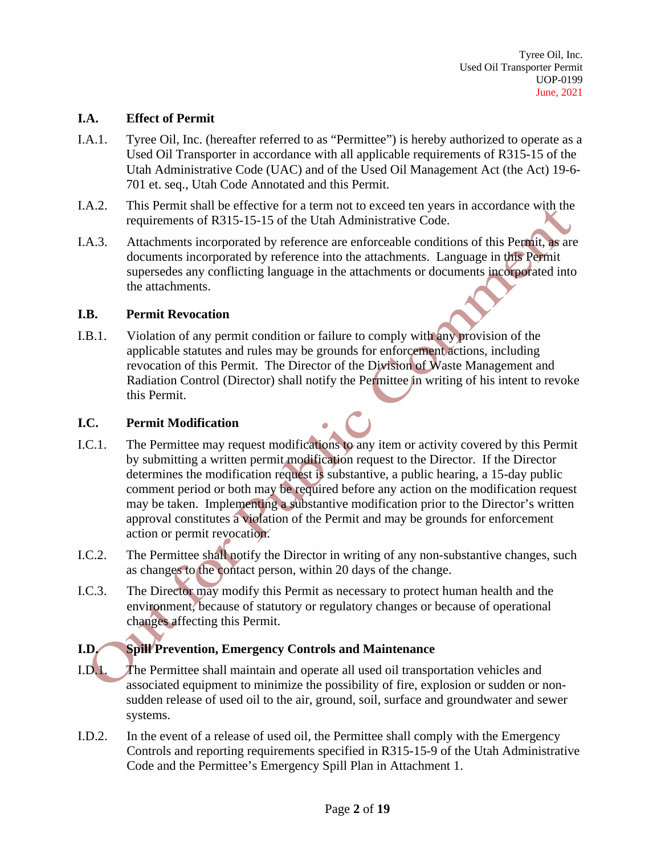#### **I.A. Effect of Permit**

- I.A.1. Tyree Oil, Inc. (hereafter referred to as "Permittee") is hereby authorized to operate as a Used Oil Transporter in accordance with all applicable requirements of R315-15 of the Utah Administrative Code (UAC) and of the Used Oil Management Act (the Act) 19-6- 701 et. seq., Utah Code Annotated and this Permit.
- I.A.2. This Permit shall be effective for a term not to exceed ten years in accordance with the requirements of R315-15-15 of the Utah Administrative Code.
- I.A.3. Attachments incorporated by reference are enforceable conditions of this Permit, as are documents incorporated by reference into the attachments. Language in this Permit supersedes any conflicting language in the attachments or documents incorporated into the attachments.

#### **I.B. Permit Revocation**

I.B.1. Violation of any permit condition or failure to comply with any provision of the applicable statutes and rules may be grounds for enforcement actions, including revocation of this Permit. The Director of the Division of Waste Management and Radiation Control (Director) shall notify the Permittee in writing of his intent to revoke this Permit.

## **I.C. Permit Modification**

- I.C.1. The Permittee may request modifications to any item or activity covered by this Permit by submitting a written permit modification request to the Director. If the Director determines the modification request is substantive, a public hearing, a 15-day public comment period or both may be required before any action on the modification request may be taken. Implementing a substantive modification prior to the Director's written approval constitutes a violation of the Permit and may be grounds for enforcement action or permit revocation.
- I.C.2. The Permittee shall notify the Director in writing of any non-substantive changes, such as changes to the contact person, within 20 days of the change.
- I.C.3. The Director may modify this Permit as necessary to protect human health and the environment, because of statutory or regulatory changes or because of operational changes affecting this Permit.

# **I.D. Spill Prevention, Emergency Controls and Maintenance**

- I.D.1. The Permittee shall maintain and operate all used oil transportation vehicles and associated equipment to minimize the possibility of fire, explosion or sudden or nonsudden release of used oil to the air, ground, soil, surface and groundwater and sewer systems.
- I.D.2. In the event of a release of used oil, the Permittee shall comply with the Emergency Controls and reporting requirements specified in R315-15-9 of the Utah Administrative Code and the Permittee's Emergency Spill Plan in Attachment 1.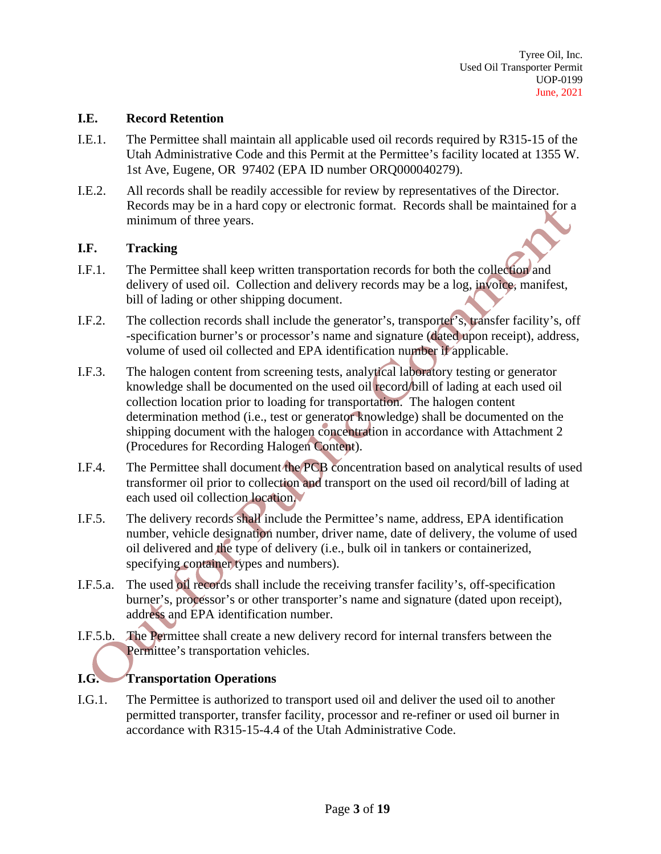#### **I.E. Record Retention**

- I.E.1. The Permittee shall maintain all applicable used oil records required by R315-15 of the Utah Administrative Code and this Permit at the Permittee's facility located at 1355 W. 1st Ave, Eugene, OR 97402 (EPA ID number ORQ000040279).
- I.E.2. All records shall be readily accessible for review by representatives of the Director. Records may be in a hard copy or electronic format. Records shall be maintained for a minimum of three years.

#### **I.F. Tracking**

- I.F.1. The Permittee shall keep written transportation records for both the collection and delivery of used oil. Collection and delivery records may be a log, invoice, manifest, bill of lading or other shipping document.
- I.F.2. The collection records shall include the generator's, transporter's, transfer facility's, off -specification burner's or processor's name and signature (dated upon receipt), address, volume of used oil collected and EPA identification number if applicable.
- I.F.3. The halogen content from screening tests, analytical laboratory testing or generator knowledge shall be documented on the used oil record/bill of lading at each used oil collection location prior to loading for transportation. The halogen content determination method (i.e., test or generator knowledge) shall be documented on the shipping document with the halogen concentration in accordance with Attachment 2 (Procedures for Recording Halogen Content).
- I.F.4. The Permittee shall document the PCB concentration based on analytical results of used transformer oil prior to collection and transport on the used oil record/bill of lading at each used oil collection location.
- I.F.5. The delivery records shall include the Permittee's name, address, EPA identification number, vehicle designation number, driver name, date of delivery, the volume of used oil delivered and the type of delivery (i.e., bulk oil in tankers or containerized, specifying container types and numbers).
- I.F.5.a. The used oil records shall include the receiving transfer facility's, off-specification burner's, processor's or other transporter's name and signature (dated upon receipt), address and EPA identification number.
- I.F.5.b. The Permittee shall create a new delivery record for internal transfers between the Permittee's transportation vehicles.

#### **I.G. Transportation Operations**

I.G.1. The Permittee is authorized to transport used oil and deliver the used oil to another permitted transporter, transfer facility, processor and re-refiner or used oil burner in accordance with R315-15-4.4 of the Utah Administrative Code.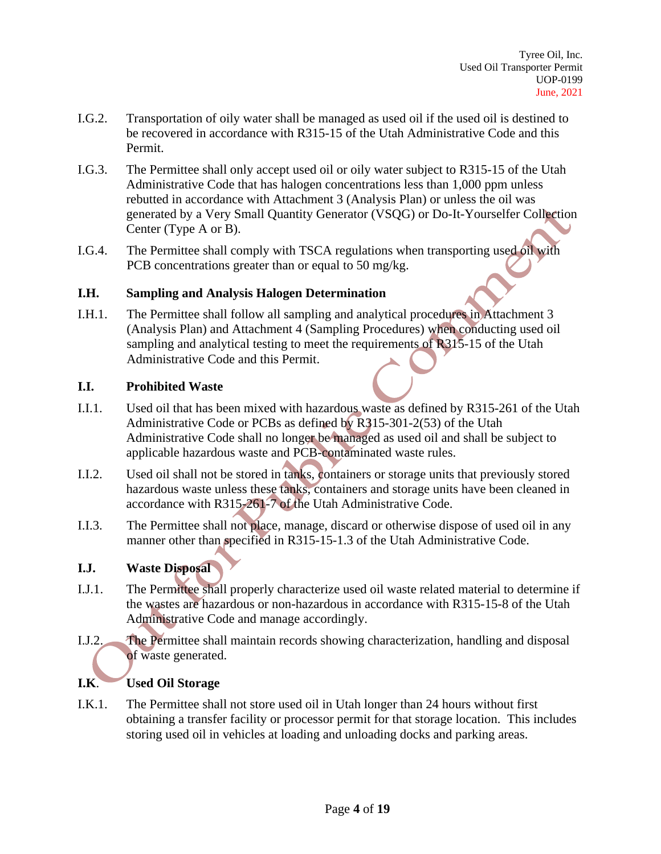- I.G.2. Transportation of oily water shall be managed as used oil if the used oil is destined to be recovered in accordance with R315-15 of the Utah Administrative Code and this Permit.
- I.G.3. The Permittee shall only accept used oil or oily water subject to R315-15 of the Utah Administrative Code that has halogen concentrations less than 1,000 ppm unless rebutted in accordance with Attachment 3 (Analysis Plan) or unless the oil was generated by a Very Small Quantity Generator (VSQG) or Do-It-Yourselfer Collection Center (Type A or B).
- I.G.4. The Permittee shall comply with TSCA regulations when transporting used oil with PCB concentrations greater than or equal to 50 mg/kg.

#### **I.H. Sampling and Analysis Halogen Determination**

I.H.1. The Permittee shall follow all sampling and analytical procedures in Attachment 3 (Analysis Plan) and Attachment 4 (Sampling Procedures) when conducting used oil sampling and analytical testing to meet the requirements of R315-15 of the Utah Administrative Code and this Permit.

#### **I.I. Prohibited Waste**

- I.I.1. Used oil that has been mixed with hazardous waste as defined by R315-261 of the Utah Administrative Code or PCBs as defined by R315-301-2(53) of the Utah Administrative Code shall no longer be managed as used oil and shall be subject to applicable hazardous waste and PCB-contaminated waste rules.
- I.I.2. Used oil shall not be stored in tanks, containers or storage units that previously stored hazardous waste unless these tanks, containers and storage units have been cleaned in accordance with R315-261-7 of the Utah Administrative Code.
- I.I.3. The Permittee shall not place, manage, discard or otherwise dispose of used oil in any manner other than specified in R315-15-1.3 of the Utah Administrative Code.

## **I.J. Waste Disposal**

- I.J.1. The Permittee shall properly characterize used oil waste related material to determine if the wastes are hazardous or non-hazardous in accordance with R315-15-8 of the Utah Administrative Code and manage accordingly.
- I.J.2. The Permittee shall maintain records showing characterization, handling and disposal of waste generated.

# **I.K**. **Used Oil Storage**

I.K.1. The Permittee shall not store used oil in Utah longer than 24 hours without first obtaining a transfer facility or processor permit for that storage location. This includes storing used oil in vehicles at loading and unloading docks and parking areas.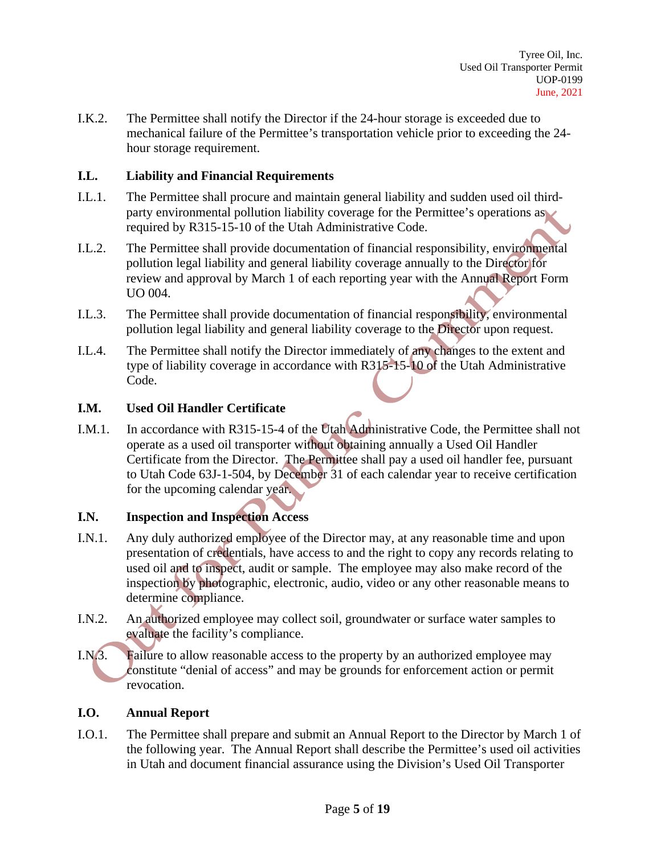I.K.2. The Permittee shall notify the Director if the 24-hour storage is exceeded due to mechanical failure of the Permittee's transportation vehicle prior to exceeding the 24 hour storage requirement.

### **I.L. Liability and Financial Requirements**

- I.L.1. The Permittee shall procure and maintain general liability and sudden used oil thirdparty environmental pollution liability coverage for the Permittee's operations as required by R315-15-10 of the Utah Administrative Code.
- I.L.2. The Permittee shall provide documentation of financial responsibility, environmental pollution legal liability and general liability coverage annually to the Director for review and approval by March 1 of each reporting year with the Annual Report Form UO 004.
- I.L.3. The Permittee shall provide documentation of financial responsibility, environmental pollution legal liability and general liability coverage to the Director upon request.
- I.L.4. The Permittee shall notify the Director immediately of any changes to the extent and type of liability coverage in accordance with R315-15-10 of the Utah Administrative Code.

## **I.M. Used Oil Handler Certificate**

I.M.1. In accordance with R315-15-4 of the Utah Administrative Code, the Permittee shall not operate as a used oil transporter without obtaining annually a Used Oil Handler Certificate from the Director. The Permittee shall pay a used oil handler fee, pursuant to Utah Code 63J-1-504, by December 31 of each calendar year to receive certification for the upcoming calendar year.

## **I.N. Inspection and Inspection Access**

- I.N.1. Any duly authorized employee of the Director may, at any reasonable time and upon presentation of credentials, have access to and the right to copy any records relating to used oil and to inspect, audit or sample. The employee may also make record of the inspection by photographic, electronic, audio, video or any other reasonable means to determine compliance.
- I.N.2. An authorized employee may collect soil, groundwater or surface water samples to evaluate the facility's compliance.
- I.N.3. Failure to allow reasonable access to the property by an authorized employee may constitute "denial of access" and may be grounds for enforcement action or permit revocation.

#### **I.O. Annual Report**

I.O.1. The Permittee shall prepare and submit an Annual Report to the Director by March 1 of the following year. The Annual Report shall describe the Permittee's used oil activities in Utah and document financial assurance using the Division's Used Oil Transporter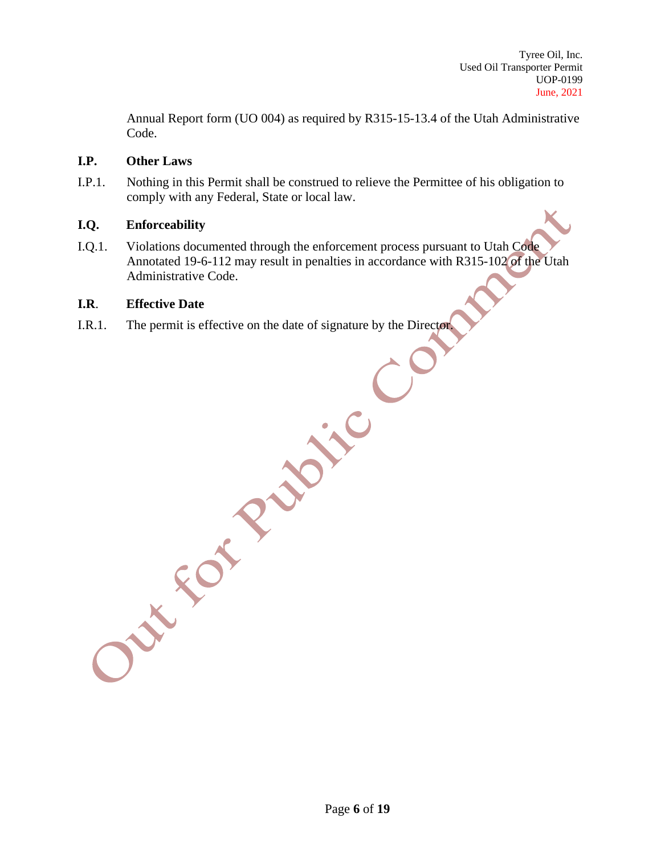Annual Report form (UO 004) as required by R315-15-13.4 of the Utah Administrative Code.

#### **I.P. Other Laws**

I.P.1. Nothing in this Permit shall be construed to relieve the Permittee of his obligation to comply with any Federal, State or local law.

#### **I.Q. Enforceability**

I.Q.1. Violations documented through the enforcement process pursuant to Utah Code Annotated 19-6-112 may result in penalties in accordance with R315-102 of the Utah Administrative Code.

#### **I.R**. **Effective Date**

I.R.1. The permit is effective on the date of signature by the Director.

Out For Rubble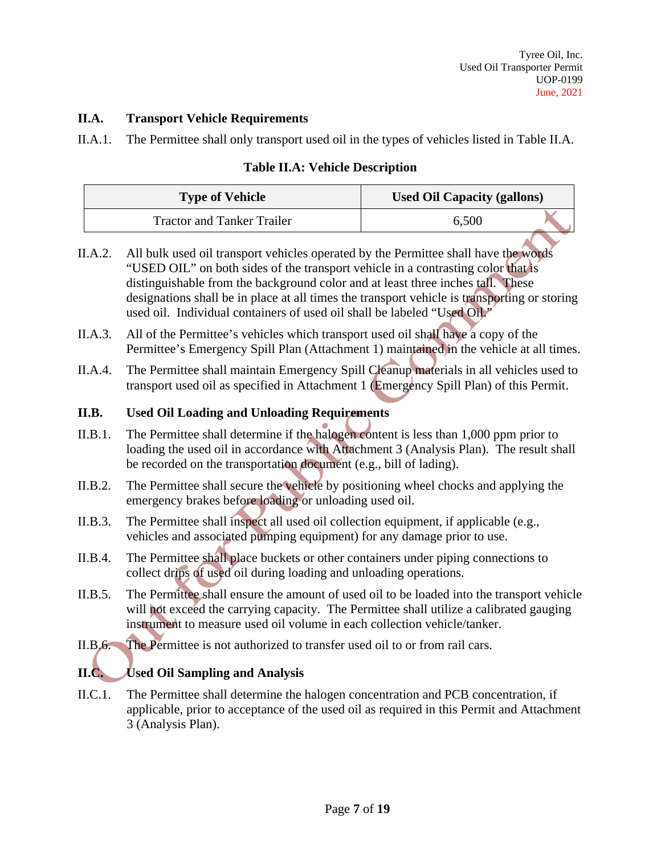## **II.A. Transport Vehicle Requirements**

II.A.1. The Permittee shall only transport used oil in the types of vehicles listed in Table II.A.

# **Table II.A: Vehicle Description**

| <b>Used Oil Capacity (gallons)</b><br><b>Type of Vehicle</b> |       |  |
|--------------------------------------------------------------|-------|--|
| <b>Tractor and Tanker Trailer</b>                            | 6,500 |  |

- II.A.2. All bulk used oil transport vehicles operated by the Permittee shall have the words "USED OIL" on both sides of the transport vehicle in a contrasting color that is distinguishable from the background color and at least three inches tall. These designations shall be in place at all times the transport vehicle is transporting or storing used oil. Individual containers of used oil shall be labeled "Used Oil."
- II.A.3. All of the Permittee's vehicles which transport used oil shall have a copy of the Permittee's Emergency Spill Plan (Attachment 1) maintained in the vehicle at all times.
- II.A.4. The Permittee shall maintain Emergency Spill Cleanup materials in all vehicles used to transport used oil as specified in Attachment 1 (Emergency Spill Plan) of this Permit.

# **II.B. Used Oil Loading and Unloading Requirements**

- II.B.1. The Permittee shall determine if the halogen content is less than 1,000 ppm prior to loading the used oil in accordance with Attachment 3 (Analysis Plan). The result shall be recorded on the transportation document (e.g., bill of lading).
- II.B.2. The Permittee shall secure the vehicle by positioning wheel chocks and applying the emergency brakes before loading or unloading used oil.
- II.B.3. The Permittee shall inspect all used oil collection equipment, if applicable (e.g., vehicles and associated pumping equipment) for any damage prior to use.
- II.B.4. The Permittee shall place buckets or other containers under piping connections to collect drips of used oil during loading and unloading operations.
- II.B.5. The Permittee shall ensure the amount of used oil to be loaded into the transport vehicle will not exceed the carrying capacity. The Permittee shall utilize a calibrated gauging instrument to measure used oil volume in each collection vehicle/tanker.
- II.B.6. The Permittee is not authorized to transfer used oil to or from rail cars.

# **II.C. Used Oil Sampling and Analysis**

II.C.1. The Permittee shall determine the halogen concentration and PCB concentration, if applicable, prior to acceptance of the used oil as required in this Permit and Attachment 3 (Analysis Plan).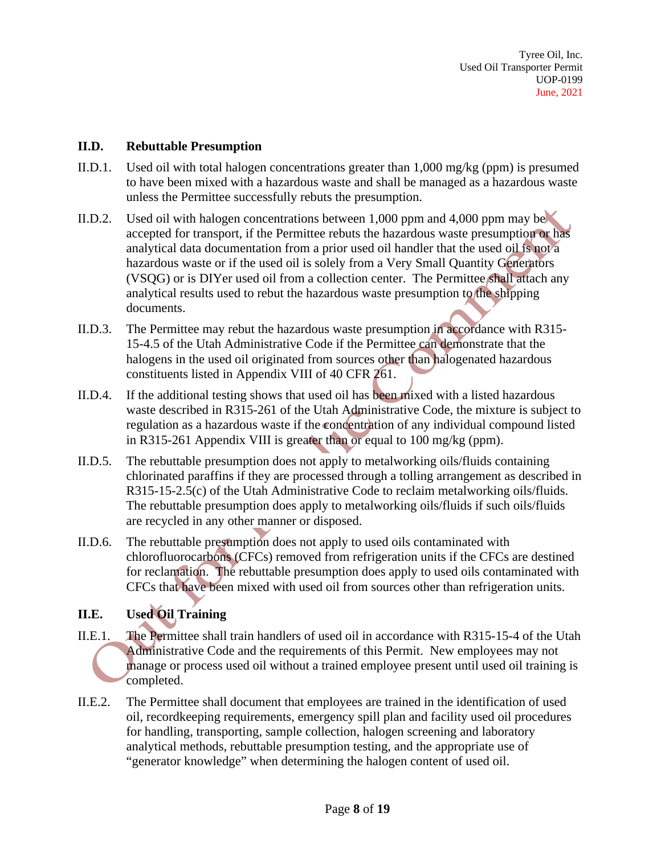#### **II.D. Rebuttable Presumption**

- II.D.1. Used oil with total halogen concentrations greater than 1,000 mg/kg (ppm) is presumed to have been mixed with a hazardous waste and shall be managed as a hazardous waste unless the Permittee successfully rebuts the presumption.
- II.D.2. Used oil with halogen concentrations between 1,000 ppm and 4,000 ppm may be accepted for transport, if the Permittee rebuts the hazardous waste presumption or has analytical data documentation from a prior used oil handler that the used oil is not a hazardous waste or if the used oil is solely from a Very Small Quantity Generators (VSQG) or is DIYer used oil from a collection center. The Permittee shall attach any analytical results used to rebut the hazardous waste presumption to the shipping documents.
- II.D.3. The Permittee may rebut the hazardous waste presumption in accordance with R315- 15-4.5 of the Utah Administrative Code if the Permittee can demonstrate that the halogens in the used oil originated from sources other than halogenated hazardous constituents listed in Appendix VIII of 40 CFR 261.
- II.D.4. If the additional testing shows that used oil has been mixed with a listed hazardous waste described in R315-261 of the Utah Administrative Code, the mixture is subject to regulation as a hazardous waste if the concentration of any individual compound listed in R315-261 Appendix VIII is greater than or equal to 100 mg/kg (ppm).
- II.D.5. The rebuttable presumption does not apply to metalworking oils/fluids containing chlorinated paraffins if they are processed through a tolling arrangement as described in R315-15-2.5(c) of the Utah Administrative Code to reclaim metalworking oils/fluids. The rebuttable presumption does apply to metalworking oils/fluids if such oils/fluids are recycled in any other manner or disposed.
- II.D.6. The rebuttable presumption does not apply to used oils contaminated with chlorofluorocarbons (CFCs) removed from refrigeration units if the CFCs are destined for reclamation. The rebuttable presumption does apply to used oils contaminated with CFCs that have been mixed with used oil from sources other than refrigeration units.

## **II.E. Used Oil Training**

- II.E.1. The Permittee shall train handlers of used oil in accordance with R315-15-4 of the Utah Administrative Code and the requirements of this Permit. New employees may not manage or process used oil without a trained employee present until used oil training is completed.
- II.E.2. The Permittee shall document that employees are trained in the identification of used oil, recordkeeping requirements, emergency spill plan and facility used oil procedures for handling, transporting, sample collection, halogen screening and laboratory analytical methods, rebuttable presumption testing, and the appropriate use of "generator knowledge" when determining the halogen content of used oil.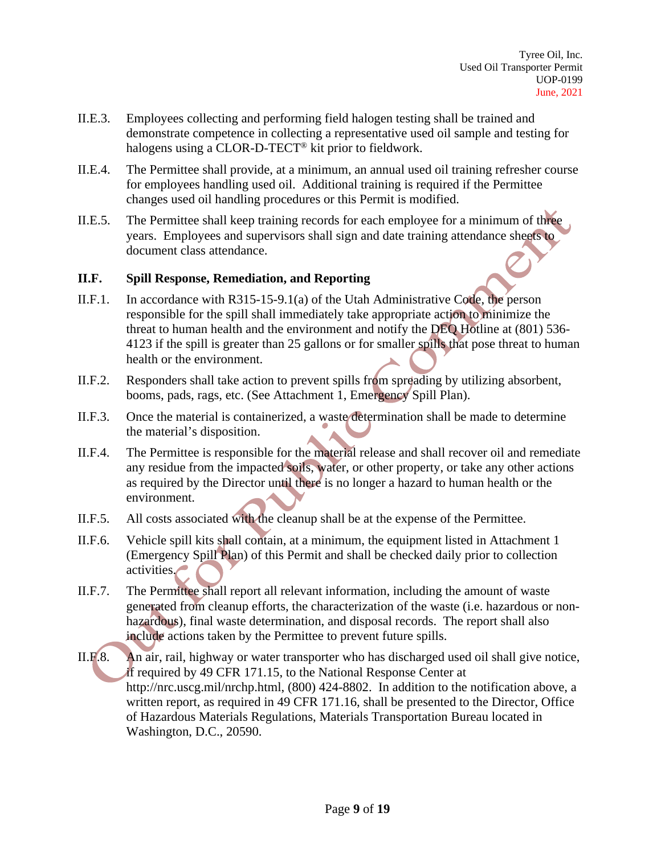- II.E.3. Employees collecting and performing field halogen testing shall be trained and demonstrate competence in collecting a representative used oil sample and testing for halogens using a CLOR-D-TECT® kit prior to fieldwork.
- II.E.4. The Permittee shall provide, at a minimum, an annual used oil training refresher course for employees handling used oil. Additional training is required if the Permittee changes used oil handling procedures or this Permit is modified.
- II.E.5. The Permittee shall keep training records for each employee for a minimum of three years. Employees and supervisors shall sign and date training attendance sheets to document class attendance.

#### **II.F. Spill Response, Remediation, and Reporting**

- II.F.1. In accordance with R315-15-9.1(a) of the Utah Administrative Code, the person responsible for the spill shall immediately take appropriate action to minimize the threat to human health and the environment and notify the DEQ Hotline at (801) 536- 4123 if the spill is greater than 25 gallons or for smaller spills that pose threat to human health or the environment.
- II.F.2. Responders shall take action to prevent spills from spreading by utilizing absorbent, booms, pads, rags, etc. (See Attachment 1, Emergency Spill Plan).
- II.F.3. Once the material is containerized, a waste determination shall be made to determine the material's disposition.
- II.F.4. The Permittee is responsible for the material release and shall recover oil and remediate any residue from the impacted soils, water, or other property, or take any other actions as required by the Director until there is no longer a hazard to human health or the environment.
- II.F.5. All costs associated with the cleanup shall be at the expense of the Permittee.
- II.F.6. Vehicle spill kits shall contain, at a minimum, the equipment listed in Attachment 1 (Emergency Spill Plan) of this Permit and shall be checked daily prior to collection activities.
- II.F.7. The Permittee shall report all relevant information, including the amount of waste generated from cleanup efforts, the characterization of the waste (i.e. hazardous or nonhazardous), final waste determination, and disposal records. The report shall also include actions taken by the Permittee to prevent future spills.
- II.F.8. An air, rail, highway or water transporter who has discharged used oil shall give notice, if required by 49 CFR 171.15, to the National Response Center at http://nrc.uscg.mil/nrchp.html, (800) 424-8802. In addition to the notification above, a written report, as required in 49 CFR 171.16, shall be presented to the Director, Office of Hazardous Materials Regulations, Materials Transportation Bureau located in Washington, D.C., 20590.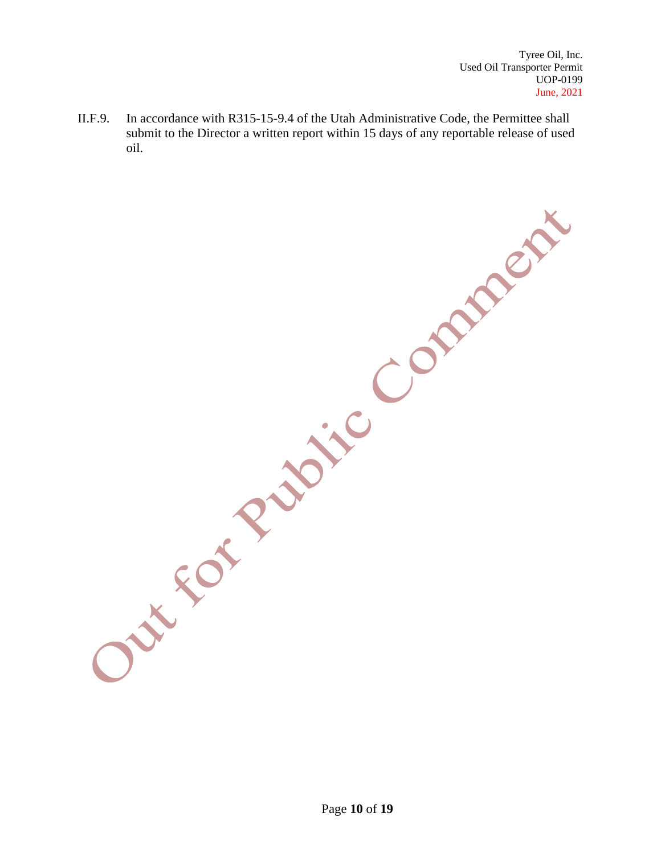II.F.9. In accordance with R315-15-9.4 of the Utah Administrative Code, the Permittee shall submit to the Director a written report within 15 days of any reportable release of used oil.

Out for Public Comment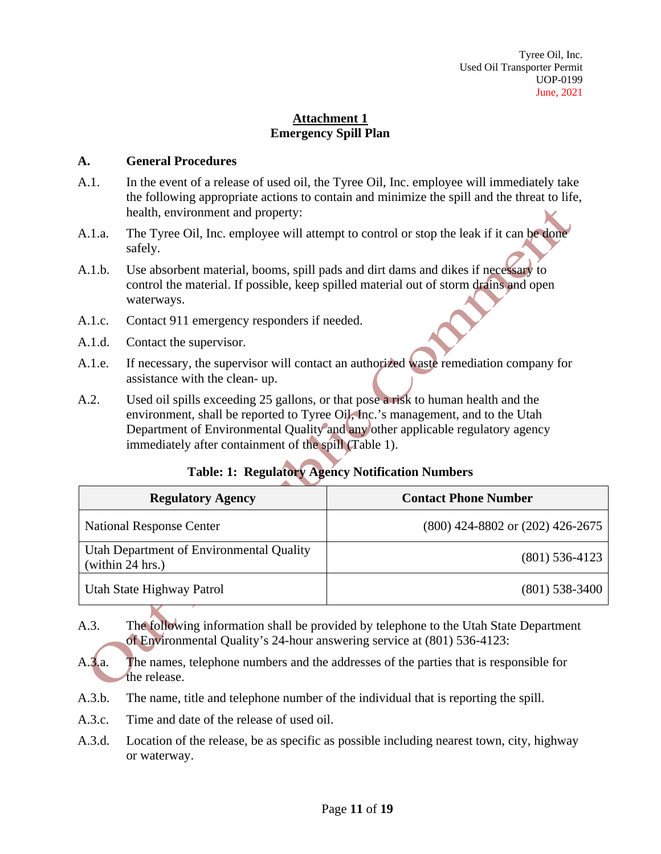# **Attachment 1 Emergency Spill Plan**

#### **A. General Procedures**

- A.1. In the event of a release of used oil, the Tyree Oil, Inc. employee will immediately take the following appropriate actions to contain and minimize the spill and the threat to life, health, environment and property:
- A.1.a. The Tyree Oil, Inc. employee will attempt to control or stop the leak if it can be done safely.
- A.1.b. Use absorbent material, booms, spill pads and dirt dams and dikes if necessary to control the material. If possible, keep spilled material out of storm drains and open waterways.
- A.1.c. Contact 911 emergency responders if needed.
- A.1.d. Contact the supervisor.
- A.1.e. If necessary, the supervisor will contact an authorized waste remediation company for assistance with the clean- up.
- A.2. Used oil spills exceeding 25 gallons, or that pose a risk to human health and the environment, shall be reported to Tyree Oil, Inc.'s management, and to the Utah Department of Environmental Quality and any other applicable regulatory agency immediately after containment of the spill (Table 1).

# **Table: 1: Regulatory Agency Notification Numbers**

| <b>Regulatory Agency</b>                                     | <b>Contact Phone Number</b>          |
|--------------------------------------------------------------|--------------------------------------|
| <b>National Response Center</b>                              | $(800)$ 424-8802 or $(202)$ 426-2675 |
| Utah Department of Environmental Quality<br>(within 24 hrs.) | $(801)$ 536-4123                     |
| Utah State Highway Patrol                                    | $(801)$ 538-3400                     |

- A.3. The following information shall be provided by telephone to the Utah State Department of Environmental Quality's 24-hour answering service at (801) 536-4123:
- A.3.a. The names, telephone numbers and the addresses of the parties that is responsible for the release.
- A.3.b. The name, title and telephone number of the individual that is reporting the spill.
- A.3.c. Time and date of the release of used oil.
- A.3.d. Location of the release, be as specific as possible including nearest town, city, highway or waterway.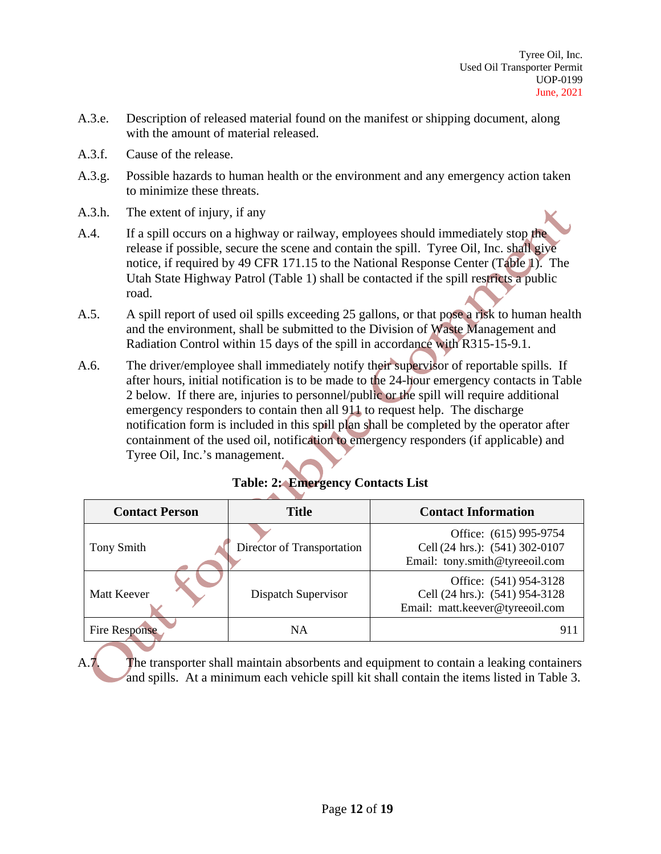- A.3.e. Description of released material found on the manifest or shipping document, along with the amount of material released.
- A.3.f. Cause of the release.
- A.3.g. Possible hazards to human health or the environment and any emergency action taken to minimize these threats.
- A.3.h. The extent of injury, if any
- A.4. If a spill occurs on a highway or railway, employees should immediately stop the release if possible, secure the scene and contain the spill. Tyree Oil, Inc. shall give notice, if required by 49 CFR 171.15 to the National Response Center (Table 1). The Utah State Highway Patrol (Table 1) shall be contacted if the spill restricts a public road.
- A.5. A spill report of used oil spills exceeding 25 gallons, or that pose a risk to human health and the environment, shall be submitted to the Division of Waste Management and Radiation Control within 15 days of the spill in accordance with R315-15-9.1.
- A.6. The driver/employee shall immediately notify their supervisor of reportable spills. If after hours, initial notification is to be made to the 24-hour emergency contacts in Table 2 below. If there are, injuries to personnel/public or the spill will require additional emergency responders to contain then all 911 to request help. The discharge notification form is included in this spill plan shall be completed by the operator after containment of the used oil, notification to emergency responders (if applicable) and Tyree Oil, Inc.'s management.

|  |  |  | <b>Table: 2: Emergency Contacts List</b> |  |
|--|--|--|------------------------------------------|--|
|--|--|--|------------------------------------------|--|

| <b>Contact Person</b> | <b>Title</b>               | <b>Contact Information</b>                                                                  |
|-----------------------|----------------------------|---------------------------------------------------------------------------------------------|
| Tony Smith            | Director of Transportation | Office: (615) 995-9754<br>Cell (24 hrs.): (541) 302-0107<br>Email: tony.smith@tyreeoil.com  |
| <b>Matt Keever</b>    | Dispatch Supervisor        | Office: (541) 954-3128<br>Cell (24 hrs.): (541) 954-3128<br>Email: matt.keever@tyreeoil.com |
| <b>Fire Response</b>  | <b>NA</b>                  | 911                                                                                         |

A.7. The transporter shall maintain absorbents and equipment to contain a leaking containers and spills. At a minimum each vehicle spill kit shall contain the items listed in Table 3.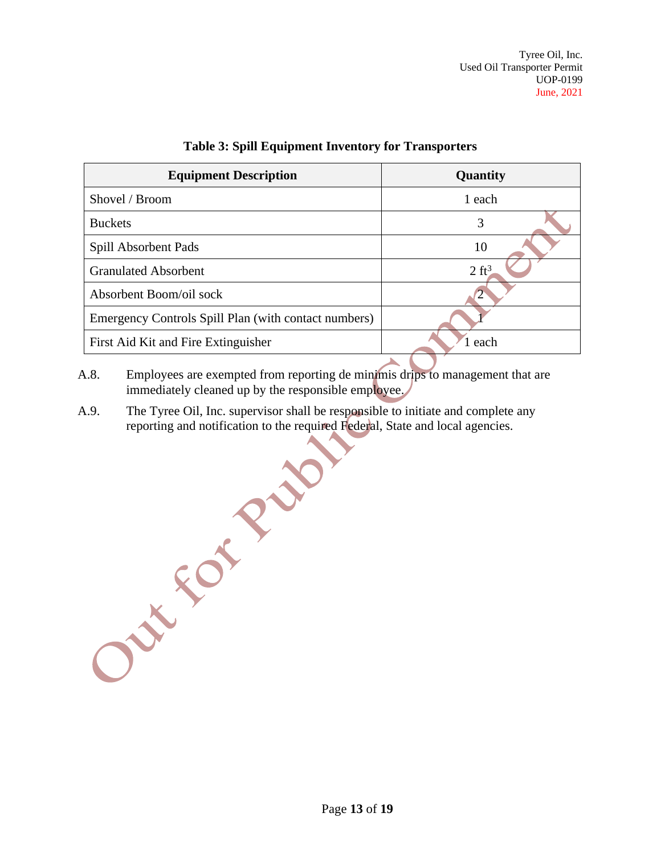| <b>Equipment Description</b>                         | Quantity         |  |
|------------------------------------------------------|------------------|--|
| Shovel / Broom                                       | 1 each           |  |
| <b>Buckets</b>                                       | 3                |  |
| Spill Absorbent Pads                                 | 10               |  |
| <b>Granulated Absorbent</b>                          | $2 \text{ ft}^3$ |  |
| Absorbent Boom/oil sock                              |                  |  |
| Emergency Controls Spill Plan (with contact numbers) |                  |  |
| First Aid Kit and Fire Extinguisher                  | each             |  |
|                                                      |                  |  |

#### **Table 3: Spill Equipment Inventory for Transporters**

- A.8. Employees are exempted from reporting de minimis drips to management that are immediately cleaned up by the responsible employee.
- A.9. The Tyree Oil, Inc. supervisor shall be responsible to initiate and complete any reporting and notification to the required Federal, State and local agencies.

Out For Prair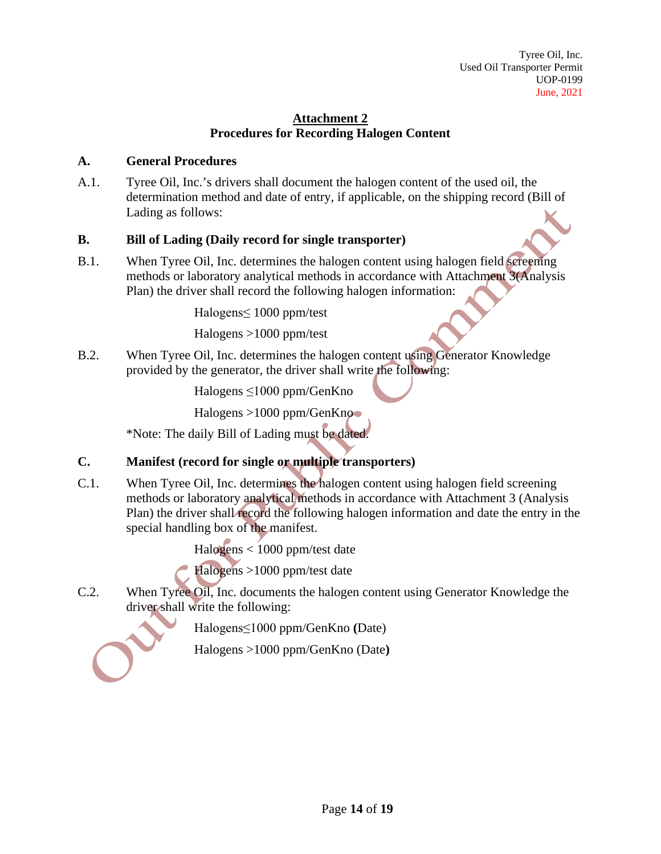# **Attachment 2 Procedures for Recording Halogen Content**

## **A. General Procedures**

A.1. Tyree Oil, Inc.'s drivers shall document the halogen content of the used oil, the determination method and date of entry, if applicable, on the shipping record (Bill of Lading as follows:

# **B. Bill of Lading (Daily record for single transporter)**

B.1. When Tyree Oil, Inc. determines the halogen content using halogen field screening methods or laboratory analytical methods in accordance with Attachment 3(Analysis Plan) the driver shall record the following halogen information:

Halogens≤ 1000 ppm/test

Halogens >1000 ppm/test

B.2. When Tyree Oil, Inc. determines the halogen content using Generator Knowledge provided by the generator, the driver shall write the following:

Halogens ≤1000 ppm/GenKno

Halogens >1000 ppm/GenKno

\*Note: The daily Bill of Lading must be dated.

# **C. Manifest (record for single or multiple transporters)**

C.1. When Tyree Oil, Inc. determines the halogen content using halogen field screening methods or laboratory analytical methods in accordance with Attachment 3 (Analysis Plan) the driver shall record the following halogen information and date the entry in the special handling box of the manifest.

Halogens < 1000 ppm/test date

Halogens >1000 ppm/test date

C.2. When Tyree Oil, Inc. documents the halogen content using Generator Knowledge the driver shall write the following:

Halogens≤1000 ppm/GenKno **(**Date)

Halogens >1000 ppm/GenKno (Date**)**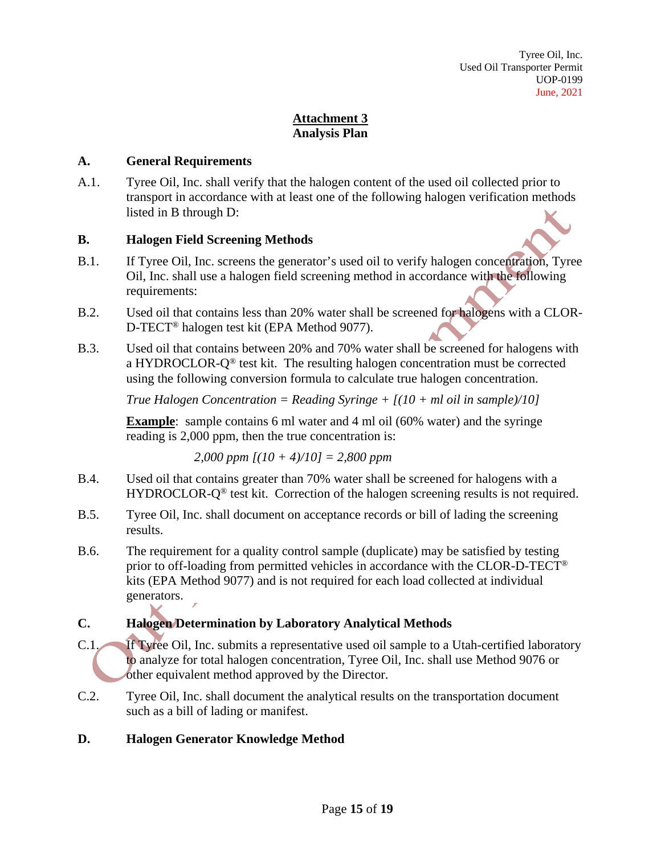# **Attachment 3 Analysis Plan**

### **A. General Requirements**

A.1. Tyree Oil, Inc. shall verify that the halogen content of the used oil collected prior to transport in accordance with at least one of the following halogen verification methods listed in B through D:

#### **B. Halogen Field Screening Methods**

- B.1. If Tyree Oil, Inc. screens the generator's used oil to verify halogen concentration, Tyree Oil, Inc. shall use a halogen field screening method in accordance with the following requirements:
- B.2. Used oil that contains less than 20% water shall be screened for halogens with a CLOR-D-TECT® halogen test kit (EPA Method 9077).
- B.3. Used oil that contains between 20% and 70% water shall be screened for halogens with a HYDROCLOR-Q® test kit. The resulting halogen concentration must be corrected using the following conversion formula to calculate true halogen concentration.

*True Halogen Concentration = Reading Syringe + [(10 + ml oil in sample)/10]*

**Example**: sample contains 6 ml water and 4 ml oil (60% water) and the syringe reading is 2,000 ppm, then the true concentration is:

*2,000 ppm [(10 + 4)/10] = 2,800 ppm*

- B.4. Used oil that contains greater than 70% water shall be screened for halogens with a HYDROCLOR-Q<sup>®</sup> test kit. Correction of the halogen screening results is not required.
- B.5. Tyree Oil, Inc. shall document on acceptance records or bill of lading the screening results.
- B.6. The requirement for a quality control sample (duplicate) may be satisfied by testing prior to off-loading from permitted vehicles in accordance with the CLOR-D-TECT® kits (EPA Method 9077) and is not required for each load collected at individual generators.

## **C. Halogen Determination by Laboratory Analytical Methods**

- C.1. If Tyree Oil, Inc. submits a representative used oil sample to a Utah-certified laboratory to analyze for total halogen concentration, Tyree Oil, Inc. shall use Method 9076 or other equivalent method approved by the Director.
- C.2. Tyree Oil, Inc. shall document the analytical results on the transportation document such as a bill of lading or manifest.

## **D. Halogen Generator Knowledge Method**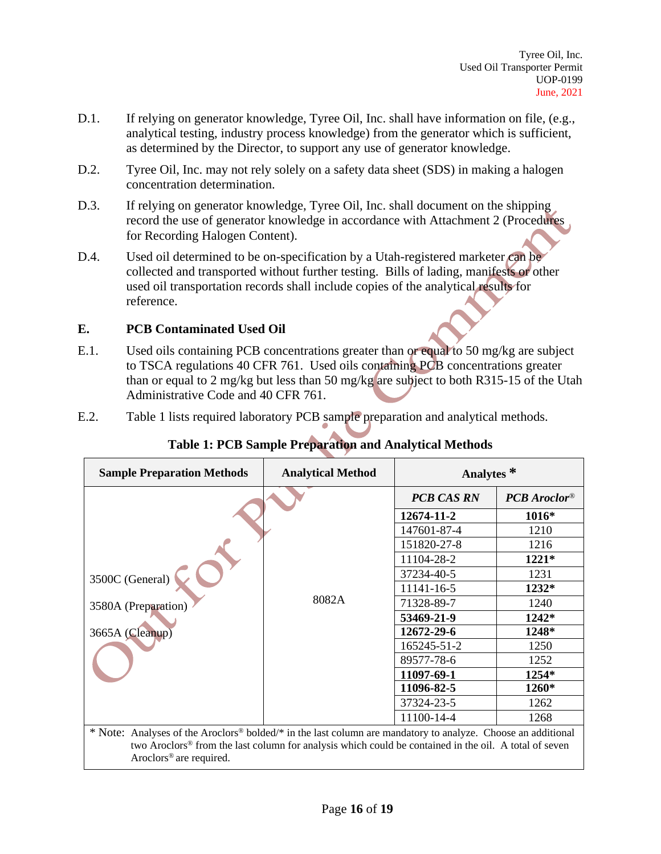- D.1. If relying on generator knowledge, Tyree Oil, Inc. shall have information on file, (e.g., analytical testing, industry process knowledge) from the generator which is sufficient, as determined by the Director, to support any use of generator knowledge.
- D.2. Tyree Oil, Inc. may not rely solely on a safety data sheet (SDS) in making a halogen concentration determination.
- D.3. If relying on generator knowledge, Tyree Oil, Inc. shall document on the shipping record the use of generator knowledge in accordance with Attachment 2 (Procedures for Recording Halogen Content).
- D.4. Used oil determined to be on-specification by a Utah-registered marketer can be collected and transported without further testing. Bills of lading, manifests or other used oil transportation records shall include copies of the analytical results for reference.

#### **E. PCB Contaminated Used Oil**

- E.1. Used oils containing PCB concentrations greater than or equal to 50 mg/kg are subject to TSCA regulations 40 CFR 761. Used oils containing PCB concentrations greater than or equal to 2 mg/kg but less than 50 mg/kg are subject to both R315-15 of the Utah Administrative Code and 40 CFR 761.
- E.2. Table 1 lists required laboratory PCB sample preparation and analytical methods.

| <b>Sample Preparation Methods</b>                                                                                                                                                                                                                                                    | <b>Analytical Method</b> | Analytes <sup>*</sup> |                |
|--------------------------------------------------------------------------------------------------------------------------------------------------------------------------------------------------------------------------------------------------------------------------------------|--------------------------|-----------------------|----------------|
|                                                                                                                                                                                                                                                                                      | 8082A                    | <b>PCB CAS RN</b>     | $PCB$ Aroclor® |
|                                                                                                                                                                                                                                                                                      |                          | 12674-11-2            | 1016*          |
|                                                                                                                                                                                                                                                                                      |                          | 147601-87-4           | 1210           |
|                                                                                                                                                                                                                                                                                      |                          | 151820-27-8           | 1216           |
|                                                                                                                                                                                                                                                                                      |                          | 11104-28-2            | $1221*$        |
| 3500C (General)<br>3580A (Preparation)<br>3665A (Cleanup)                                                                                                                                                                                                                            |                          | 37234-40-5            | 1231           |
|                                                                                                                                                                                                                                                                                      |                          | 11141-16-5            | 1232*          |
|                                                                                                                                                                                                                                                                                      |                          | 71328-89-7            | 1240           |
|                                                                                                                                                                                                                                                                                      |                          | 53469-21-9            | 1242*          |
|                                                                                                                                                                                                                                                                                      |                          | 12672-29-6            | 1248*          |
|                                                                                                                                                                                                                                                                                      |                          | 165245-51-2           | 1250           |
|                                                                                                                                                                                                                                                                                      |                          | 89577-78-6            | 1252           |
|                                                                                                                                                                                                                                                                                      |                          | 11097-69-1            | 1254*          |
|                                                                                                                                                                                                                                                                                      |                          | 11096-82-5            | 1260*          |
|                                                                                                                                                                                                                                                                                      |                          | 37324-23-5            | 1262           |
|                                                                                                                                                                                                                                                                                      |                          | 11100-14-4            | 1268           |
| * Note: Analyses of the Aroclors <sup>®</sup> bolded/* in the last column are mandatory to analyze. Choose an additional<br>two Aroclors <sup>®</sup> from the last column for analysis which could be contained in the oil. A total of seven<br>Aroclors <sup>®</sup> are required. |                          |                       |                |

# **Table 1: PCB Sample Preparation and Analytical Methods**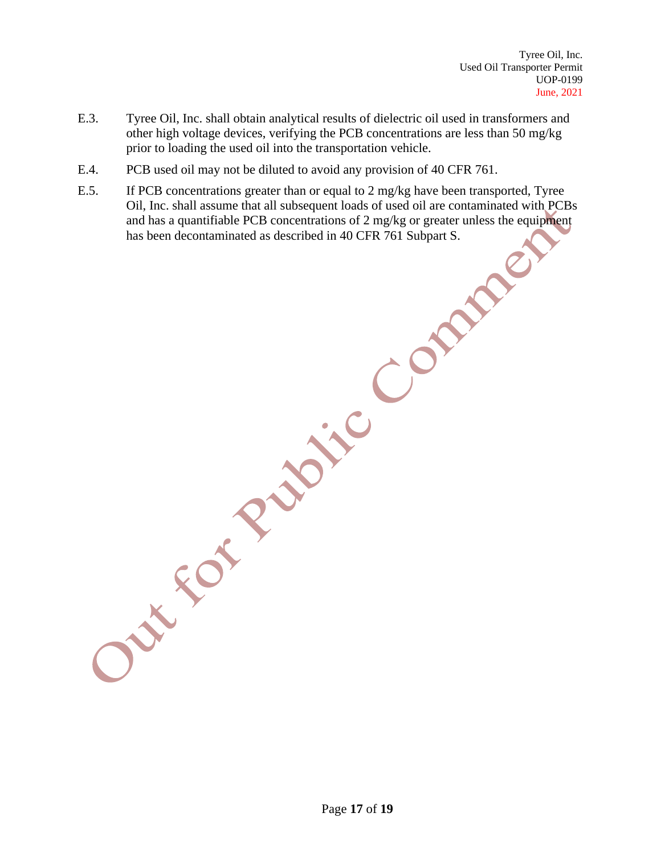- E.3. Tyree Oil, Inc. shall obtain analytical results of dielectric oil used in transformers and other high voltage devices, verifying the PCB concentrations are less than 50 mg/kg prior to loading the used oil into the transportation vehicle.
- E.4. PCB used oil may not be diluted to avoid any provision of 40 CFR 761.
- E.5. If PCB concentrations greater than or equal to 2 mg/kg have been transported, Tyree Oil, Inc. shall assume that all subsequent loads of used oil are contaminated with PCBs and has a quantifiable PCB concentrations of 2 mg/kg or greater unless the equipment has been decontaminated as described in 40 CFR 761 Subpart S.

Page **17** of **19**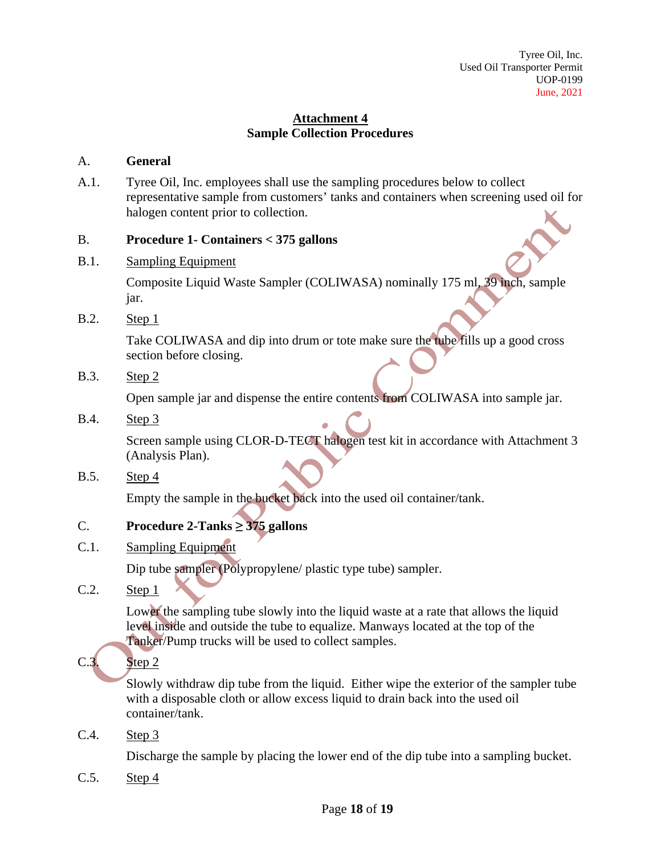## **Attachment 4 Sample Collection Procedures**

#### A. **General**

A.1. Tyree Oil, Inc. employees shall use the sampling procedures below to collect representative sample from customers' tanks and containers when screening used oil for halogen content prior to collection.

#### B. **Procedure 1- Containers < 375 gallons**

B.1. Sampling Equipment

Composite Liquid Waste Sampler (COLIWASA) nominally 175 ml, 39 inch, sample jar.

**B.2.** Step 1

Take COLIWASA and dip into drum or tote make sure the tube fills up a good cross section before closing.

B.3. Step 2

Open sample jar and dispense the entire contents from COLIWASA into sample jar.

B.4. Step 3

Screen sample using CLOR-D-TECT halogen test kit in accordance with Attachment 3 (Analysis Plan).

B.5. Step 4

Empty the sample in the bucket back into the used oil container/tank.

## C. **Procedure 2-Tanks ≥ 375 gallons**

C.1. Sampling Equipment

Dip tube sampler (Polypropylene/ plastic type tube) sampler.

C.2. Step 1

Lower the sampling tube slowly into the liquid waste at a rate that allows the liquid level inside and outside the tube to equalize. Manways located at the top of the Tanker/Pump trucks will be used to collect samples.

# $C.3.$  Step 2

Slowly withdraw dip tube from the liquid. Either wipe the exterior of the sampler tube with a disposable cloth or allow excess liquid to drain back into the used oil container/tank.

C.4. Step 3

Discharge the sample by placing the lower end of the dip tube into a sampling bucket.

C.5. Step 4